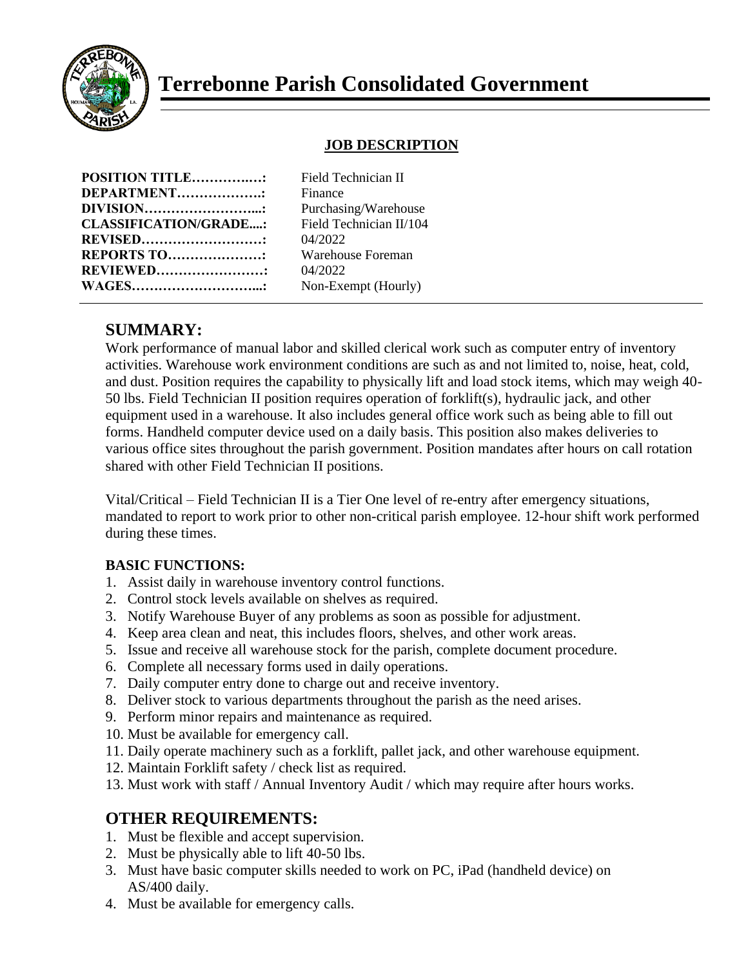

# **Terrebonne Parish Consolidated Government**

#### **JOB DESCRIPTION**

| <b>POSITION TITLE:</b>       |  |
|------------------------------|--|
| <b>DEPARTMENT:</b>           |  |
| <b>DIVISION</b>              |  |
| <b>CLASSIFICATION/GRADE:</b> |  |
| <b>REVISED</b>               |  |
| <b>REPORTS TO:</b>           |  |
| <b>REVIEWED:</b>             |  |
| <b>WAGES</b> .               |  |

**Field Technician II Finance** Purchasing/Warehouse Field Technician II/104 **REVISED………………………:** 04/2022 **REPORTS TO…………………:** Warehouse Foreman **REVIEWED……………………:** 04/2022 Non-Exempt (Hourly)

## **SUMMARY:**

Work performance of manual labor and skilled clerical work such as computer entry of inventory activities. Warehouse work environment conditions are such as and not limited to, noise, heat, cold, and dust. Position requires the capability to physically lift and load stock items, which may weigh 40- 50 lbs. Field Technician II position requires operation of forklift(s), hydraulic jack, and other equipment used in a warehouse. It also includes general office work such as being able to fill out forms. Handheld computer device used on a daily basis. This position also makes deliveries to various office sites throughout the parish government. Position mandates after hours on call rotation shared with other Field Technician II positions.

Vital/Critical – Field Technician II is a Tier One level of re-entry after emergency situations, mandated to report to work prior to other non-critical parish employee. 12-hour shift work performed during these times.

#### **BASIC FUNCTIONS:**

- 1. Assist daily in warehouse inventory control functions.
- 2. Control stock levels available on shelves as required.
- 3. Notify Warehouse Buyer of any problems as soon as possible for adjustment.
- 4. Keep area clean and neat, this includes floors, shelves, and other work areas.
- 5. Issue and receive all warehouse stock for the parish, complete document procedure.
- 6. Complete all necessary forms used in daily operations.
- 7. Daily computer entry done to charge out and receive inventory.
- 8. Deliver stock to various departments throughout the parish as the need arises.
- 9. Perform minor repairs and maintenance as required.
- 10. Must be available for emergency call.
- 11. Daily operate machinery such as a forklift, pallet jack, and other warehouse equipment.
- 12. Maintain Forklift safety / check list as required.
- 13. Must work with staff / Annual Inventory Audit / which may require after hours works.

### **OTHER REQUIREMENTS:**

- 1. Must be flexible and accept supervision.
- 2. Must be physically able to lift 40-50 lbs.
- 3. Must have basic computer skills needed to work on PC, iPad (handheld device) on AS/400 daily.
- 4. Must be available for emergency calls.